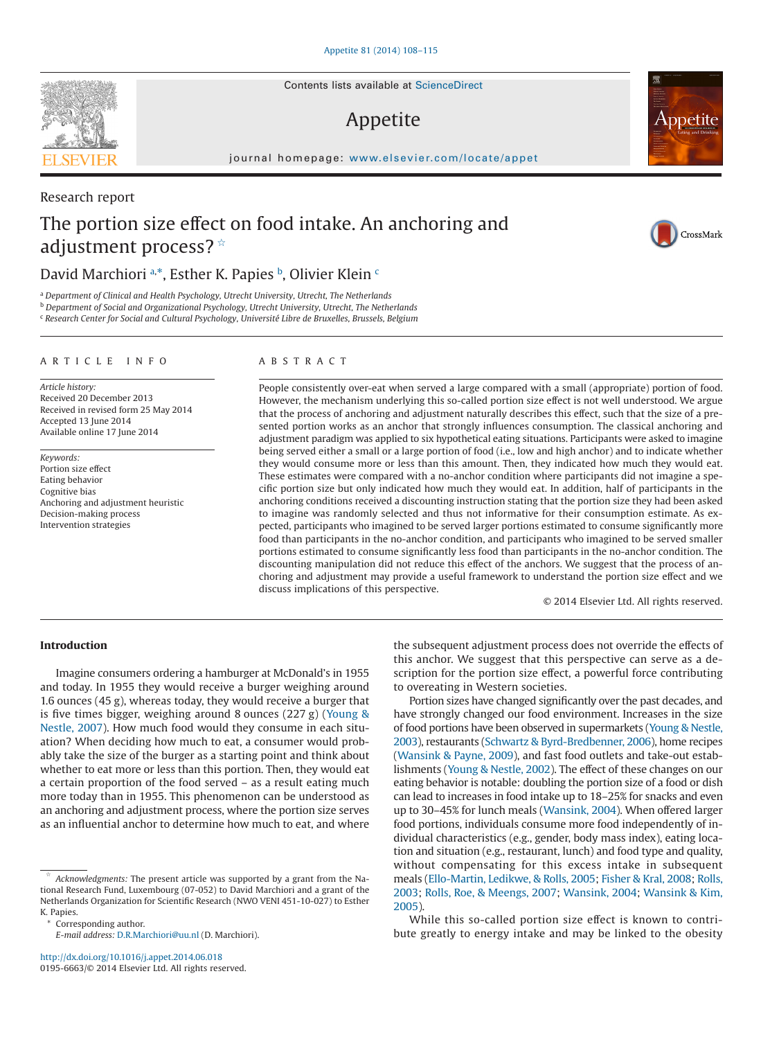Contents lists available at [ScienceDirect](http:http://www.sciencedirect.com/science/journal/01678809)

# Appetite

journal homepage: [www.elsevier.com/locate/appet](http://www.elsevier.com/locate/APPET)

# Research report The portion size effect on food intake. An anchoring and adjustment process? [☆](#page-0-0)

David Marchiori [a,](#page-0-1)[\\*,](#page-0-2) Esther K. Papies <sup>[b](#page-0-3)</sup>, Olivier Klein [c](#page-0-4)

<span id="page-0-1"></span><sup>a</sup> *Department of Clinical and Health Psychology, Utrecht University, Utrecht, The Netherlands*

<span id="page-0-3"></span><sup>b</sup> *Department of Social and Organizational Psychology, Utrecht University, Utrecht, The Netherlands*

<span id="page-0-4"></span><sup>c</sup> *Research Center for Social and Cultural Psychology, Université Libre de Bruxelles, Brussels, Belgium*

#### ARTICLE INFO

*Article history:* Received 20 December 2013 Received in revised form 25 May 2014 Accepted 13 June 2014 Available online 17 June 2014

*Keywords:* Portion size effect Eating behavior Cognitive bias Anchoring and adjustment heuristic Decision-making process Intervention strategies

# ABSTRACT

People consistently over-eat when served a large compared with a small (appropriate) portion of food. However, the mechanism underlying this so-called portion size effect is not well understood. We argue that the process of anchoring and adjustment naturally describes this effect, such that the size of a presented portion works as an anchor that strongly influences consumption. The classical anchoring and adjustment paradigm was applied to six hypothetical eating situations. Participants were asked to imagine being served either a small or a large portion of food (i.e., low and high anchor) and to indicate whether they would consume more or less than this amount. Then, they indicated how much they would eat. These estimates were compared with a no-anchor condition where participants did not imagine a specific portion size but only indicated how much they would eat. In addition, half of participants in the anchoring conditions received a discounting instruction stating that the portion size they had been asked to imagine was randomly selected and thus not informative for their consumption estimate. As expected, participants who imagined to be served larger portions estimated to consume significantly more food than participants in the no-anchor condition, and participants who imagined to be served smaller portions estimated to consume significantly less food than participants in the no-anchor condition. The discounting manipulation did not reduce this effect of the anchors. We suggest that the process of anchoring and adjustment may provide a useful framework to understand the portion size effect and we discuss implications of this perspective.

© 2014 Elsevier Ltd. All rights reserved.

## **Introduction**

Imagine consumers ordering a hamburger at McDonald's in 1955 and today. In 1955 they would receive a burger weighing around 1.6 ounces (45 g), whereas today, they would receive a burger that is five times bigger, weighing around 8 ounces (227 g) [\(Young &](#page-7-0) [Nestle, 2007\)](#page-7-0). How much food would they consume in each situation? When deciding how much to eat, a consumer would probably take the size of the burger as a starting point and think about whether to eat more or less than this portion. Then, they would eat a certain proportion of the food served – as a result eating much more today than in 1955. This phenomenon can be understood as an anchoring and adjustment process, where the portion size serves as an influential anchor to determine how much to eat, and where

<span id="page-0-2"></span>Corresponding author.

*E-mail address:* [D.R.Marchiori@uu.nl](mailto:D.R.Marchiori@uu.nl) (D. Marchiori).

the subsequent adjustment process does not override the effects of this anchor. We suggest that this perspective can serve as a description for the portion size effect, a powerful force contributing to overeating in Western societies.

Portion sizes have changed significantly over the past decades, and have strongly changed our food environment. Increases in the size of food portions have been observed in supermarkets [\(Young & Nestle,](#page-7-1) [2003\)](#page-7-1), restaurants [\(Schwartz & Byrd-Bredbenner, 2006\)](#page-6-0), home recipes [\(Wansink & Payne, 2009\)](#page-6-1), and fast food outlets and take-out establishments [\(Young & Nestle, 2002\)](#page-7-2). The effect of these changes on our eating behavior is notable: doubling the portion size of a food or dish can lead to increases in food intake up to 18–25% for snacks and even up to 30–45% for lunch meals [\(Wansink, 2004\)](#page-6-2). When offered larger food portions, individuals consume more food independently of individual characteristics (e.g., gender, body mass index), eating location and situation (e.g., restaurant, lunch) and food type and quality, without compensating for this excess intake in subsequent meals [\(Ello-Martin, Ledikwe, & Rolls, 2005;](#page-6-3) [Fisher & Kral, 2008;](#page-6-4) [Rolls,](#page-6-5) [2003;](#page-6-5) [Rolls, Roe, & Meengs, 2007;](#page-6-6) [Wansink, 2004;](#page-6-2) [Wansink & Kim,](#page-6-7) [2005\)](#page-6-7).

While this so-called portion size effect is known to contribute greatly to energy intake and may be linked to the obesity







<span id="page-0-0"></span>Acknowledgments: The present article was supported by a grant from the National Research Fund, Luxembourg (07-052) to David Marchiori and a grant of the Netherlands Organization for Scientific Research (NWO VENI 451-10-027) to Esther K. Papies.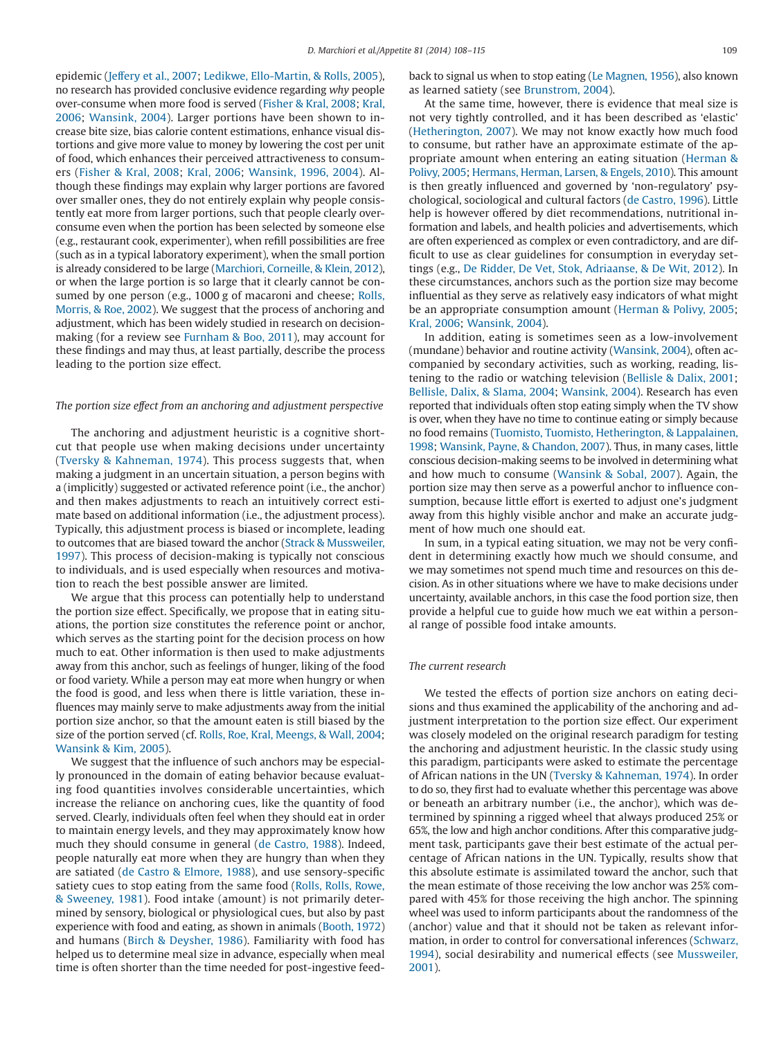epidemic [\(Jeffery et al., 2007;](#page-6-8) [Ledikwe, Ello-Martin, & Rolls, 2005\)](#page-6-9), no research has provided conclusive evidence regarding *why* people over-consume when more food is served [\(Fisher & Kral, 2008;](#page-6-4) [Kral,](#page-6-10) [2006;](#page-6-10) [Wansink, 2004\)](#page-6-2). Larger portions have been shown to increase bite size, bias calorie content estimations, enhance visual distortions and give more value to money by lowering the cost per unit of food, which enhances their perceived attractiveness to consumers [\(Fisher & Kral, 2008;](#page-6-4) [Kral, 2006;](#page-6-10) [Wansink, 1996, 2004\)](#page-6-11). Although these findings may explain why larger portions are favored over smaller ones, they do not entirely explain why people consistently eat more from larger portions, such that people clearly overconsume even when the portion has been selected by someone else (e.g., restaurant cook, experimenter), when refill possibilities are free (such as in a typical laboratory experiment), when the small portion is already considered to be large [\(Marchiori, Corneille, & Klein, 2012\)](#page-6-12), or when the large portion is so large that it clearly cannot be consumed by one person (e.g., 1000 g of macaroni and cheese; [Rolls,](#page-6-13) [Morris, & Roe, 2002\)](#page-6-13). We suggest that the process of anchoring and adjustment, which has been widely studied in research on decisionmaking (for a review see [Furnham & Boo, 2011\)](#page-6-14), may account for these findings and may thus, at least partially, describe the process leading to the portion size effect.

#### *The portion size effect from an anchoring and adjustment perspective*

The anchoring and adjustment heuristic is a cognitive shortcut that people use when making decisions under uncertainty [\(Tversky & Kahneman, 1974\)](#page-6-15). This process suggests that, when making a judgment in an uncertain situation, a person begins with a (implicitly) suggested or activated reference point (i.e., the anchor) and then makes adjustments to reach an intuitively correct estimate based on additional information (i.e., the adjustment process). Typically, this adjustment process is biased or incomplete, leading to outcomes that are biased toward the anchor [\(Strack & Mussweiler,](#page-6-16) [1997\)](#page-6-16). This process of decision-making is typically not conscious to individuals, and is used especially when resources and motivation to reach the best possible answer are limited.

We argue that this process can potentially help to understand the portion size effect. Specifically, we propose that in eating situations, the portion size constitutes the reference point or anchor, which serves as the starting point for the decision process on how much to eat. Other information is then used to make adjustments away from this anchor, such as feelings of hunger, liking of the food or food variety. While a person may eat more when hungry or when the food is good, and less when there is little variation, these influences may mainly serve to make adjustments away from the initial portion size anchor, so that the amount eaten is still biased by the size of the portion served (cf. [Rolls, Roe, Kral, Meengs, & Wall, 2004;](#page-6-17) [Wansink & Kim, 2005\)](#page-6-7).

We suggest that the influence of such anchors may be especially pronounced in the domain of eating behavior because evaluating food quantities involves considerable uncertainties, which increase the reliance on anchoring cues, like the quantity of food served. Clearly, individuals often feel when they should eat in order to maintain energy levels, and they may approximately know how much they should consume in general [\(de Castro, 1988\)](#page-6-18). Indeed, people naturally eat more when they are hungry than when they are satiated [\(de Castro & Elmore, 1988\)](#page-6-19), and use sensory-specific satiety cues to stop eating from the same food [\(Rolls, Rolls, Rowe,](#page-6-20) [& Sweeney, 1981\)](#page-6-20). Food intake (amount) is not primarily determined by sensory, biological or physiological cues, but also by past experience with food and eating, as shown in animals [\(Booth, 1972\)](#page-6-21) and humans [\(Birch & Deysher, 1986\)](#page-6-22). Familiarity with food has helped us to determine meal size in advance, especially when meal time is often shorter than the time needed for post-ingestive feedback to signal us when to stop eating [\(Le Magnen, 1956\)](#page-6-23), also known as learned satiety (see [Brunstrom, 2004\)](#page-6-24).

At the same time, however, there is evidence that meal size is not very tightly controlled, and it has been described as 'elastic' [\(Hetherington, 2007\)](#page-6-25). We may not know exactly how much food to consume, but rather have an approximate estimate of the appropriate amount when entering an eating situation [\(Herman &](#page-6-26) [Polivy, 2005;](#page-6-26) [Hermans, Herman, Larsen, & Engels, 2010\)](#page-6-27). This amount is then greatly influenced and governed by 'non-regulatory' psychological, sociological and cultural factors [\(de Castro, 1996\)](#page-6-28). Little help is however offered by diet recommendations, nutritional information and labels, and health policies and advertisements, which are often experienced as complex or even contradictory, and are difficult to use as clear guidelines for consumption in everyday settings (e.g., [De Ridder, De Vet, Stok, Adriaanse, & De Wit, 2012\)](#page-6-29). In these circumstances, anchors such as the portion size may become influential as they serve as relatively easy indicators of what might be an appropriate consumption amount [\(Herman & Polivy, 2005;](#page-6-26) [Kral, 2006;](#page-6-10) [Wansink, 2004\)](#page-6-2).

In addition, eating is sometimes seen as a low-involvement (mundane) behavior and routine activity [\(Wansink, 2004\)](#page-6-2), often accompanied by secondary activities, such as working, reading, listening to the radio or watching television [\(Bellisle & Dalix, 2001;](#page-6-30) [Bellisle, Dalix, & Slama, 2004;](#page-6-31) [Wansink, 2004\)](#page-6-2). Research has even reported that individuals often stop eating simply when the TV show is over, when they have no time to continue eating or simply because no food remains [\(Tuomisto, Tuomisto, Hetherington, & Lappalainen,](#page-6-32) [1998;](#page-6-32) [Wansink, Payne, & Chandon, 2007\)](#page-7-3). Thus, in many cases, little conscious decision-making seems to be involved in determining what and how much to consume [\(Wansink & Sobal, 2007\)](#page-7-4). Again, the portion size may then serve as a powerful anchor to influence consumption, because little effort is exerted to adjust one's judgment away from this highly visible anchor and make an accurate judgment of how much one should eat.

In sum, in a typical eating situation, we may not be very confident in determining exactly how much we should consume, and we may sometimes not spend much time and resources on this decision. As in other situations where we have to make decisions under uncertainty, available anchors, in this case the food portion size, then provide a helpful cue to guide how much we eat within a personal range of possible food intake amounts.

#### *The current research*

We tested the effects of portion size anchors on eating decisions and thus examined the applicability of the anchoring and adjustment interpretation to the portion size effect. Our experiment was closely modeled on the original research paradigm for testing the anchoring and adjustment heuristic. In the classic study using this paradigm, participants were asked to estimate the percentage of African nations in the UN [\(Tversky & Kahneman, 1974\)](#page-6-15). In order to do so, they first had to evaluate whether this percentage was above or beneath an arbitrary number (i.e., the anchor), which was determined by spinning a rigged wheel that always produced 25% or 65%, the low and high anchor conditions. After this comparative judgment task, participants gave their best estimate of the actual percentage of African nations in the UN. Typically, results show that this absolute estimate is assimilated toward the anchor, such that the mean estimate of those receiving the low anchor was 25% compared with 45% for those receiving the high anchor. The spinning wheel was used to inform participants about the randomness of the (anchor) value and that it should not be taken as relevant information, in order to control for conversational inferences [\(Schwarz,](#page-6-33) [1994\)](#page-6-33), social desirability and numerical effects (see [Mussweiler,](#page-6-34) [2001\)](#page-6-34).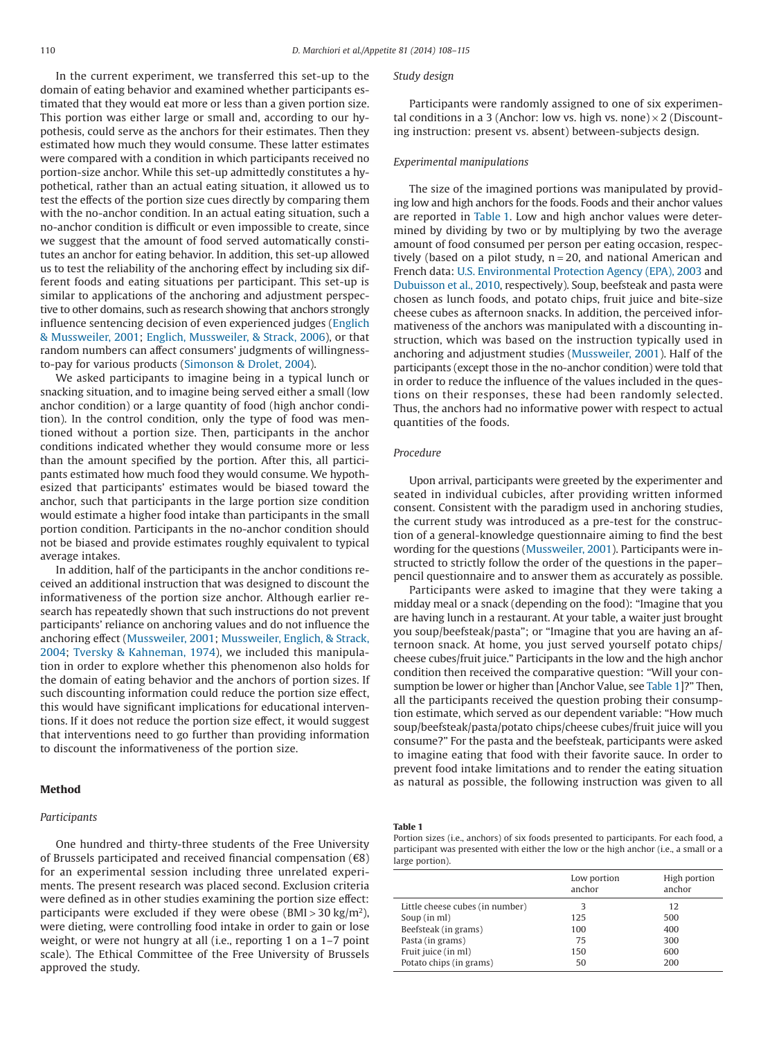In the current experiment, we transferred this set-up to the domain of eating behavior and examined whether participants estimated that they would eat more or less than a given portion size. This portion was either large or small and, according to our hypothesis, could serve as the anchors for their estimates. Then they estimated how much they would consume. These latter estimates were compared with a condition in which participants received no portion-size anchor. While this set-up admittedly constitutes a hypothetical, rather than an actual eating situation, it allowed us to test the effects of the portion size cues directly by comparing them with the no-anchor condition. In an actual eating situation, such a no-anchor condition is difficult or even impossible to create, since we suggest that the amount of food served automatically constitutes an anchor for eating behavior. In addition, this set-up allowed us to test the reliability of the anchoring effect by including six different foods and eating situations per participant. This set-up is similar to applications of the anchoring and adjustment perspective to other domains, such as research showing that anchors strongly influence sentencing decision of even experienced judges [\(Englich](#page-6-35) [& Mussweiler, 2001;](#page-6-35) [Englich, Mussweiler, & Strack, 2006\)](#page-6-36), or that random numbers can affect consumers' judgments of willingnessto-pay for various products [\(Simonson & Drolet, 2004\)](#page-6-37).

We asked participants to imagine being in a typical lunch or snacking situation, and to imagine being served either a small (low anchor condition) or a large quantity of food (high anchor condition). In the control condition, only the type of food was mentioned without a portion size. Then, participants in the anchor conditions indicated whether they would consume more or less than the amount specified by the portion. After this, all participants estimated how much food they would consume. We hypothesized that participants' estimates would be biased toward the anchor, such that participants in the large portion size condition would estimate a higher food intake than participants in the small portion condition. Participants in the no-anchor condition should not be biased and provide estimates roughly equivalent to typical average intakes.

In addition, half of the participants in the anchor conditions received an additional instruction that was designed to discount the informativeness of the portion size anchor. Although earlier research has repeatedly shown that such instructions do not prevent participants' reliance on anchoring values and do not influence the anchoring effect [\(Mussweiler, 2001;](#page-6-34) [Mussweiler, Englich, & Strack,](#page-6-38) [2004;](#page-6-38) [Tversky & Kahneman, 1974\)](#page-6-15), we included this manipulation in order to explore whether this phenomenon also holds for the domain of eating behavior and the anchors of portion sizes. If such discounting information could reduce the portion size effect, this would have significant implications for educational interventions. If it does not reduce the portion size effect, it would suggest that interventions need to go further than providing information to discount the informativeness of the portion size.

## **Method**

### *Participants*

One hundred and thirty-three students of the Free University of Brussels participated and received financial compensation  $(68)$ for an experimental session including three unrelated experiments. The present research was placed second. Exclusion criteria were defined as in other studies examining the portion size effect: participants were excluded if they were obese (BMI > 30 kg/m<sup>2</sup>), were dieting, were controlling food intake in order to gain or lose weight, or were not hungry at all (i.e., reporting 1 on a 1–7 point scale). The Ethical Committee of the Free University of Brussels approved the study.

#### *Study design*

Participants were randomly assigned to one of six experimental conditions in a 3 (Anchor: low vs. high vs. none)  $\times$  2 (Discounting instruction: present vs. absent) between-subjects design.

#### *Experimental manipulations*

The size of the imagined portions was manipulated by providing low and high anchors for the foods. Foods and their anchor values are reported in Table 1. Low and high anchor values were determined by dividing by two or by multiplying by two the average amount of food consumed per person per eating occasion, respectively (based on a pilot study,  $n = 20$ , and national American and French data: [U.S. Environmental Protection Agency \(EPA\), 2003](#page-6-39) and [Dubuisson et al., 2010,](#page-6-40) respectively). Soup, beefsteak and pasta were chosen as lunch foods, and potato chips, fruit juice and bite-size cheese cubes as afternoon snacks. In addition, the perceived informativeness of the anchors was manipulated with a discounting instruction, which was based on the instruction typically used in anchoring and adjustment studies [\(Mussweiler, 2001\)](#page-6-34). Half of the participants (except those in the no-anchor condition) were told that in order to reduce the influence of the values included in the questions on their responses, these had been randomly selected. Thus, the anchors had no informative power with respect to actual quantities of the foods.

## *Procedure*

Upon arrival, participants were greeted by the experimenter and seated in individual cubicles, after providing written informed consent. Consistent with the paradigm used in anchoring studies, the current study was introduced as a pre-test for the construction of a general-knowledge questionnaire aiming to find the best wording for the questions [\(Mussweiler, 2001\)](#page-6-34). Participants were instructed to strictly follow the order of the questions in the paper– pencil questionnaire and to answer them as accurately as possible.

Participants were asked to imagine that they were taking a midday meal or a snack (depending on the food): "Imagine that you are having lunch in a restaurant. At your table, a waiter just brought you soup/beefsteak/pasta"; or "Imagine that you are having an afternoon snack. At home, you just served yourself potato chips/ cheese cubes/fruit juice." Participants in the low and the high anchor condition then received the comparative question: "Will your consumption be lower or higher than [Anchor Value, see Table 1]?" Then, all the participants received the question probing their consumption estimate, which served as our dependent variable: "How much soup/beefsteak/pasta/potato chips/cheese cubes/fruit juice will you consume?" For the pasta and the beefsteak, participants were asked to imagine eating that food with their favorite sauce. In order to prevent food intake limitations and to render the eating situation as natural as possible, the following instruction was given to all

#### **Table 1**

Portion sizes (i.e., anchors) of six foods presented to participants. For each food, a participant was presented with either the low or the high anchor (i.e., a small or a large portion).

|                                 | Low portion<br>anchor | High portion<br>anchor |
|---------------------------------|-----------------------|------------------------|
| Little cheese cubes (in number) | 3                     | 12                     |
| Soup $(in ml)$                  | 125                   | 500                    |
| Beefsteak (in grams)            | 100                   | 400                    |
| Pasta (in grams)                | 75                    | 300                    |
| Fruit juice (in ml)             | 150                   | 600                    |
| Potato chips (in grams)         | 50                    | 200                    |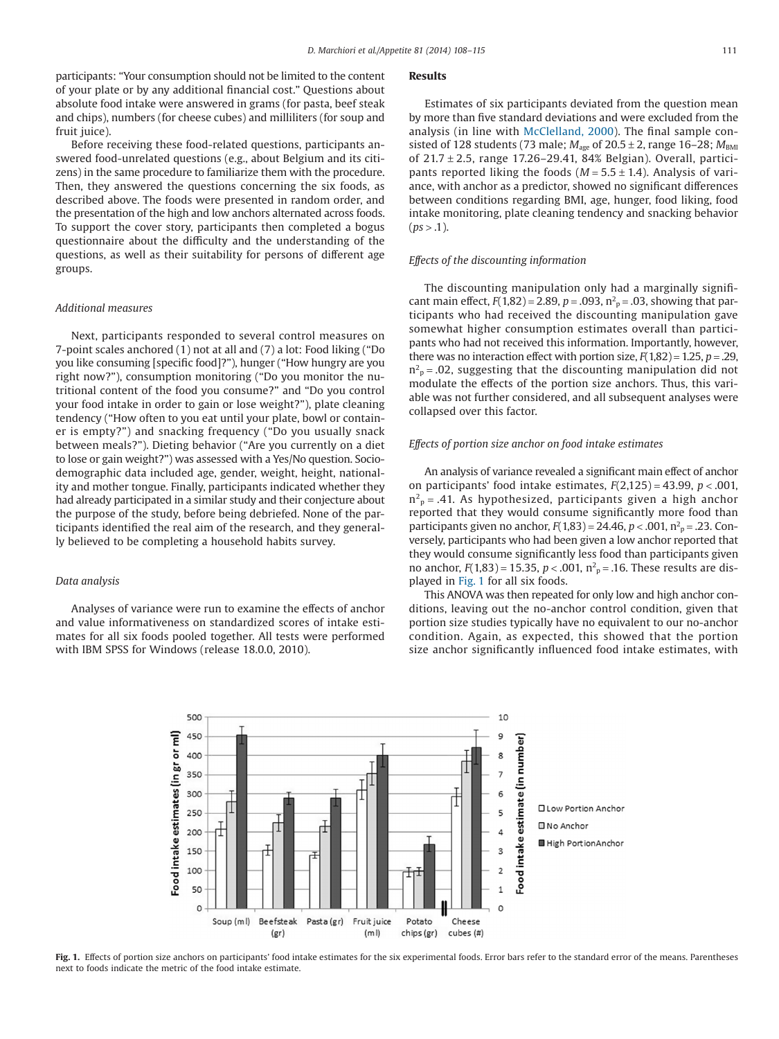<span id="page-3-0"></span>participants: "Your consumption should not be limited to the content of your plate or by any additional financial cost." Questions about absolute food intake were answered in grams (for pasta, beef steak and chips), numbers (for cheese cubes) and milliliters (for soup and fruit juice).

Before receiving these food-related questions, participants answered food-unrelated questions (e.g., about Belgium and its citizens) in the same procedure to familiarize them with the procedure. Then, they answered the questions concerning the six foods, as described above. The foods were presented in random order, and the presentation of the high and low anchors alternated across foods. To support the cover story, participants then completed a bogus questionnaire about the difficulty and the understanding of the questions, as well as their suitability for persons of different age groups.

## *Additional measures*

Next, participants responded to several control measures on 7-point scales anchored (1) not at all and (7) a lot: Food liking ("Do you like consuming [specific food]?"), hunger ("How hungry are you right now?"), consumption monitoring ("Do you monitor the nutritional content of the food you consume?" and "Do you control your food intake in order to gain or lose weight?"), plate cleaning tendency ("How often to you eat until your plate, bowl or container is empty?") and snacking frequency ("Do you usually snack between meals?"). Dieting behavior ("Are you currently on a diet to lose or gain weight?") was assessed with a Yes/No question. Sociodemographic data included age, gender, weight, height, nationality and mother tongue. Finally, participants indicated whether they had already participated in a similar study and their conjecture about the purpose of the study, before being debriefed. None of the participants identified the real aim of the research, and they generally believed to be completing a household habits survey.

### *Data analysis*

Analyses of variance were run to examine the effects of anchor and value informativeness on standardized scores of intake estimates for all six foods pooled together. All tests were performed with IBM SPSS for Windows (release 18.0.0, 2010).

#### **Results**

Estimates of six participants deviated from the question mean by more than five standard deviations and were excluded from the analysis (in line with [McClelland, 2000\)](#page-6-41). The final sample consisted of 128 students (73 male;  $M_{\text{age}}$  of 20.5  $\pm$  2, range 16–28;  $M_{\text{BMI}}$ of 21.7 ± 2.5, range 17.26–29.41, 84% Belgian). Overall, participants reported liking the foods  $(M = 5.5 \pm 1.4)$ . Analysis of variance, with anchor as a predictor, showed no significant differences between conditions regarding BMI, age, hunger, food liking, food intake monitoring, plate cleaning tendency and snacking behavior  $(ps > .1)$ .

### *Effects of the discounting information*

The discounting manipulation only had a marginally significant main effect,  $F(1,82) = 2.89$ ,  $p = .093$ ,  $n_p^2 = .03$ , showing that participants who had received the discounting manipulation gave somewhat higher consumption estimates overall than participants who had not received this information. Importantly, however, there was no interaction effect with portion size,  $F(1,82) = 1.25$ ,  $p = .29$ ,  $n^2$ <sub>p</sub> = .02, suggesting that the discounting manipulation did not modulate the effects of the portion size anchors. Thus, this variable was not further considered, and all subsequent analyses were collapsed over this factor.

## *Effects of portion size anchor on food intake estimates*

An analysis of variance revealed a significant main effect of anchor on participants' food intake estimates, *F*(2,125) = 43.99, *p* < .001,  $n^2$ <sub>p</sub> = .41. As hypothesized, participants given a high anchor reported that they would consume significantly more food than participants given no anchor,  $F(1,83) = 24.46$ ,  $p < .001$ ,  $n^2$ <sub>p</sub> = .23. Conversely, participants who had been given a low anchor reported that they would consume significantly less food than participants given no anchor,  $F(1,83) = 15.35$ ,  $p < .001$ ,  $n_p^2 = .16$ . These results are displayed in Fig. 1 for all six foods.

This ANOVA was then repeated for only low and high anchor conditions, leaving out the no-anchor control condition, given that portion size studies typically have no equivalent to our no-anchor condition. Again, as expected, this showed that the portion size anchor significantly influenced food intake estimates, with



Fig. 1. Effects of portion size anchors on participants' food intake estimates for the six experimental foods. Error bars refer to the standard error of the means. Parentheses next to foods indicate the metric of the food intake estimate.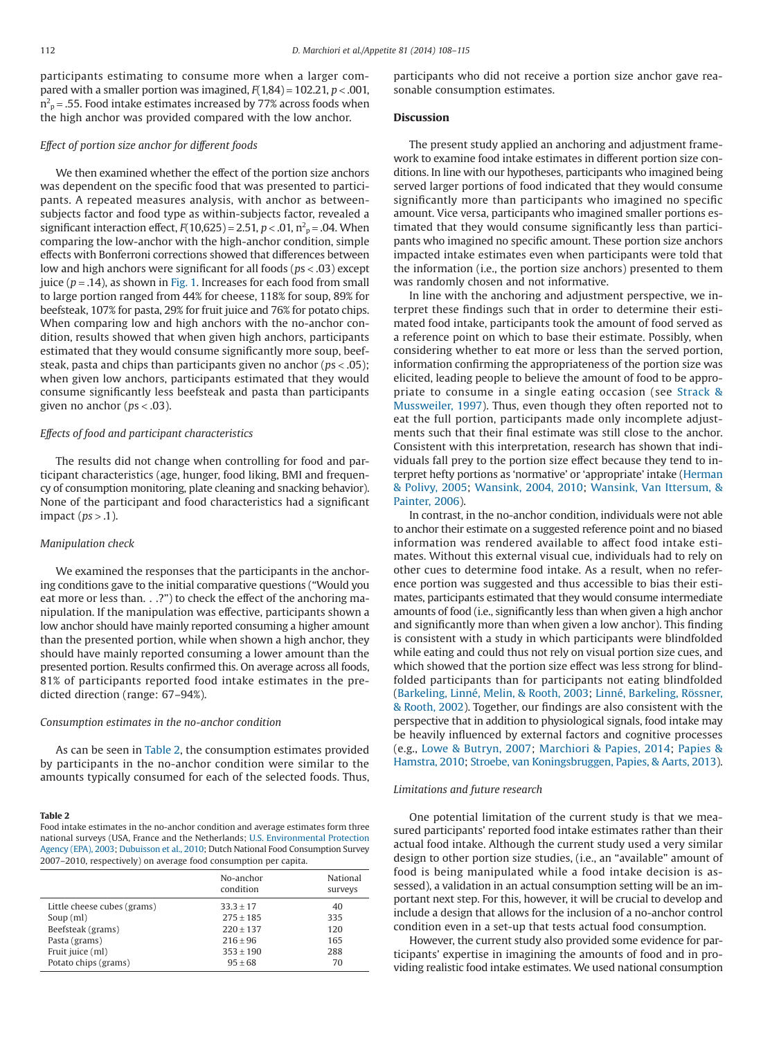participants estimating to consume more when a larger compared with a smaller portion was imagined,  $F(1,84) = 102.21$ ,  $p < .001$ ,  $n^2$ <sub>p</sub> = .55. Food intake estimates increased by 77% across foods when the high anchor was provided compared with the low anchor.

# *Effect of portion size anchor for different foods*

We then examined whether the effect of the portion size anchors was dependent on the specific food that was presented to participants. A repeated measures analysis, with anchor as betweensubjects factor and food type as within-subjects factor, revealed a significant interaction effect,  $F(10,625) = 2.51, p < .01, n<sup>2</sup><sub>p</sub> = .04$ . When comparing the low-anchor with the high-anchor condition, simple effects with Bonferroni corrections showed that differences between low and high anchors were significant for all foods (*p*s < .03) except juice  $(p = .14)$ , as shown in [Fig. 1.](#page-3-0) Increases for each food from small to large portion ranged from 44% for cheese, 118% for soup, 89% for beefsteak, 107% for pasta, 29% for fruit juice and 76% for potato chips. When comparing low and high anchors with the no-anchor condition, results showed that when given high anchors, participants estimated that they would consume significantly more soup, beefsteak, pasta and chips than participants given no anchor (*p*s < .05); when given low anchors, participants estimated that they would consume significantly less beefsteak and pasta than participants given no anchor (*p*s < .03).

## *Effects of food and participant characteristics*

The results did not change when controlling for food and participant characteristics (age, hunger, food liking, BMI and frequency of consumption monitoring, plate cleaning and snacking behavior). None of the participant and food characteristics had a significant impact (*ps* > .1).

#### *Manipulation check*

We examined the responses that the participants in the anchoring conditions gave to the initial comparative questions ("Would you eat more or less than. . .?") to check the effect of the anchoring manipulation. If the manipulation was effective, participants shown a low anchor should have mainly reported consuming a higher amount than the presented portion, while when shown a high anchor, they should have mainly reported consuming a lower amount than the presented portion. Results confirmed this. On average across all foods, 81% of participants reported food intake estimates in the predicted direction (range: 67–94%).

#### *Consumption estimates in the no-anchor condition*

As can be seen in Table 2, the consumption estimates provided by participants in the no-anchor condition were similar to the amounts typically consumed for each of the selected foods. Thus,

#### **Table 2**

Food intake estimates in the no-anchor condition and average estimates form three national surveys (USA, France and the Netherlands; [U.S. Environmental Protection](#page-6-39) [Agency \(EPA\), 2003;](#page-6-39) [Dubuisson et al., 2010;](#page-6-40) Dutch National Food Consumption Survey 2007–2010, respectively) on average food consumption per capita.

|                             | No-anchor<br>condition | National<br>surveys |
|-----------------------------|------------------------|---------------------|
| Little cheese cubes (grams) | $33.3 + 17$            | 40                  |
| $Soup$ (ml)                 | $275 + 185$            | 335                 |
| Beefsteak (grams)           | $220 + 137$            | 120                 |
| Pasta (grams)               | $216 + 96$             | 165                 |
| Fruit juice (ml)            | $353 + 190$            | 288                 |
| Potato chips (grams)        | $95 + 68$              | 70                  |
|                             |                        |                     |

participants who did not receive a portion size anchor gave reasonable consumption estimates.

## **Discussion**

The present study applied an anchoring and adjustment framework to examine food intake estimates in different portion size conditions. In line with our hypotheses, participants who imagined being served larger portions of food indicated that they would consume significantly more than participants who imagined no specific amount. Vice versa, participants who imagined smaller portions estimated that they would consume significantly less than participants who imagined no specific amount. These portion size anchors impacted intake estimates even when participants were told that the information (i.e., the portion size anchors) presented to them was randomly chosen and not informative.

In line with the anchoring and adjustment perspective, we interpret these findings such that in order to determine their estimated food intake, participants took the amount of food served as a reference point on which to base their estimate. Possibly, when considering whether to eat more or less than the served portion, information confirming the appropriateness of the portion size was elicited, leading people to believe the amount of food to be appropriate to consume in a single eating occasion (see [Strack &](#page-6-16) [Mussweiler, 1997\)](#page-6-16). Thus, even though they often reported not to eat the full portion, participants made only incomplete adjustments such that their final estimate was still close to the anchor. Consistent with this interpretation, research has shown that individuals fall prey to the portion size effect because they tend to interpret hefty portions as 'normative' or 'appropriate' intake [\(Herman](#page-6-26) [& Polivy, 2005;](#page-6-26) [Wansink, 2004, 2010;](#page-6-2) [Wansink, Van Ittersum, &](#page-7-5) [Painter, 2006\)](#page-7-5).

In contrast, in the no-anchor condition, individuals were not able to anchor their estimate on a suggested reference point and no biased information was rendered available to affect food intake estimates. Without this external visual cue, individuals had to rely on other cues to determine food intake. As a result, when no reference portion was suggested and thus accessible to bias their estimates, participants estimated that they would consume intermediate amounts of food (i.e., significantly less than when given a high anchor and significantly more than when given a low anchor). This finding is consistent with a study in which participants were blindfolded while eating and could thus not rely on visual portion size cues, and which showed that the portion size effect was less strong for blindfolded participants than for participants not eating blindfolded [\(Barkeling, Linné, Melin, & Rooth, 2003;](#page-5-0) [Linné, Barkeling, Rössner,](#page-6-42) [& Rooth, 2002\)](#page-6-42). Together, our findings are also consistent with the perspective that in addition to physiological signals, food intake may be heavily influenced by external factors and cognitive processes (e.g., [Lowe & Butryn, 2007;](#page-6-43) [Marchiori & Papies, 2014;](#page-6-44) [Papies &](#page-6-45) [Hamstra, 2010;](#page-6-45) [Stroebe, van Koningsbruggen, Papies, & Aarts, 2013\)](#page-6-46).

## *Limitations and future research*

One potential limitation of the current study is that we measured participants' reported food intake estimates rather than their actual food intake. Although the current study used a very similar design to other portion size studies, (i.e., an "available" amount of food is being manipulated while a food intake decision is assessed), a validation in an actual consumption setting will be an important next step. For this, however, it will be crucial to develop and include a design that allows for the inclusion of a no-anchor control condition even in a set-up that tests actual food consumption.

However, the current study also provided some evidence for participants' expertise in imagining the amounts of food and in providing realistic food intake estimates. We used national consumption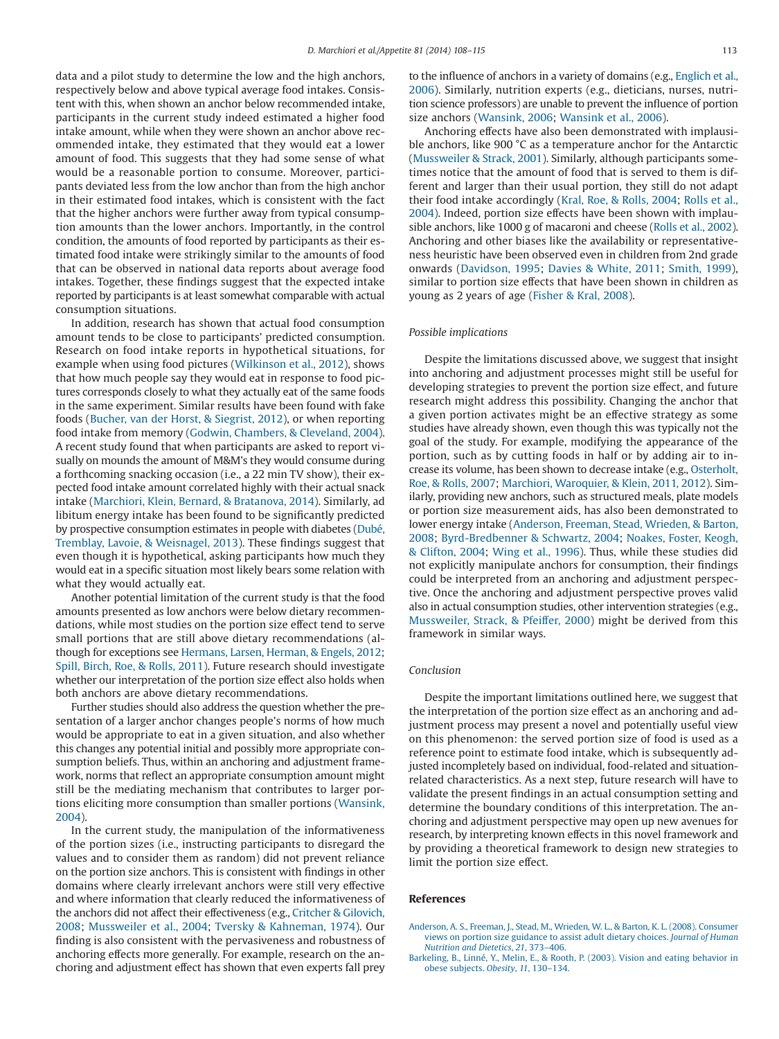data and a pilot study to determine the low and the high anchors, respectively below and above typical average food intakes. Consistent with this, when shown an anchor below recommended intake, participants in the current study indeed estimated a higher food intake amount, while when they were shown an anchor above recommended intake, they estimated that they would eat a lower amount of food. This suggests that they had some sense of what would be a reasonable portion to consume. Moreover, participants deviated less from the low anchor than from the high anchor in their estimated food intakes, which is consistent with the fact that the higher anchors were further away from typical consumption amounts than the lower anchors. Importantly, in the control condition, the amounts of food reported by participants as their estimated food intake were strikingly similar to the amounts of food that can be observed in national data reports about average food intakes. Together, these findings suggest that the expected intake reported by participants is at least somewhat comparable with actual consumption situations.

In addition, research has shown that actual food consumption amount tends to be close to participants' predicted consumption. Research on food intake reports in hypothetical situations, for example when using food pictures [\(Wilkinson et al., 2012\)](#page-7-6), shows that how much people say they would eat in response to food pictures corresponds closely to what they actually eat of the same foods in the same experiment. Similar results have been found with fake foods [\(Bucher, van der Horst, & Siegrist, 2012\)](#page-6-47), or when reporting food intake from memory [\(Godwin, Chambers, & Cleveland, 2004\)](#page-6-48). A recent study found that when participants are asked to report visually on mounds the amount of M&M's they would consume during a forthcoming snacking occasion (i.e., a 22 min TV show), their expected food intake amount correlated highly with their actual snack intake [\(Marchiori, Klein, Bernard, & Bratanova, 2014\)](#page-6-49). Similarly, ad libitum energy intake has been found to be significantly predicted by prospective consumption estimates in people with diabetes [\(Dubé,](#page-6-50) [Tremblay, Lavoie, & Weisnagel, 2013\)](#page-6-50). These findings suggest that even though it is hypothetical, asking participants how much they would eat in a specific situation most likely bears some relation with what they would actually eat.

Another potential limitation of the current study is that the food amounts presented as low anchors were below dietary recommendations, while most studies on the portion size effect tend to serve small portions that are still above dietary recommendations (although for exceptions see [Hermans, Larsen, Herman, & Engels, 2012;](#page-6-51) [Spill, Birch, Roe, & Rolls, 2011\)](#page-6-52). Future research should investigate whether our interpretation of the portion size effect also holds when both anchors are above dietary recommendations.

Further studies should also address the question whether the presentation of a larger anchor changes people's norms of how much would be appropriate to eat in a given situation, and also whether this changes any potential initial and possibly more appropriate consumption beliefs. Thus, within an anchoring and adjustment framework, norms that reflect an appropriate consumption amount might still be the mediating mechanism that contributes to larger portions eliciting more consumption than smaller portions [\(Wansink,](#page-6-2) [2004\)](#page-6-2).

In the current study, the manipulation of the informativeness of the portion sizes (i.e., instructing participants to disregard the values and to consider them as random) did not prevent reliance on the portion size anchors. This is consistent with findings in other domains where clearly irrelevant anchors were still very effective and where information that clearly reduced the informativeness of the anchors did not affect their effectiveness (e.g., [Critcher & Gilovich,](#page-6-53) [2008;](#page-6-53) [Mussweiler et al., 2004;](#page-6-38) [Tversky & Kahneman, 1974\)](#page-6-15). Our finding is also consistent with the pervasiveness and robustness of anchoring effects more generally. For example, research on the anchoring and adjustment effect has shown that even experts fall prey

to the influence of anchors in a variety of domains (e.g., [Englich et al.,](#page-6-36) [2006\)](#page-6-36). Similarly, nutrition experts (e.g., dieticians, nurses, nutrition science professors) are unable to prevent the influence of portion size anchors [\(Wansink, 2006;](#page-6-54) [Wansink et al., 2006\)](#page-7-5).

Anchoring effects have also been demonstrated with implausible anchors, like 900 °C as a temperature anchor for the Antarctic [\(Mussweiler & Strack, 2001\)](#page-6-55). Similarly, although participants sometimes notice that the amount of food that is served to them is different and larger than their usual portion, they still do not adapt their food intake accordingly [\(Kral, Roe, & Rolls, 2004;](#page-6-56) [Rolls et al.,](#page-6-17) [2004\)](#page-6-17). Indeed, portion size effects have been shown with implausible anchors, like 1000 g of macaroni and cheese [\(Rolls et al., 2002\)](#page-6-13). Anchoring and other biases like the availability or representativeness heuristic have been observed even in children from 2nd grade onwards [\(Davidson, 1995;](#page-6-57) [Davies & White, 2011;](#page-6-58) [Smith, 1999\)](#page-6-59), similar to portion size effects that have been shown in children as young as 2 years of age [\(Fisher & Kral, 2008\)](#page-6-4).

## *Possible implications*

Despite the limitations discussed above, we suggest that insight into anchoring and adjustment processes might still be useful for developing strategies to prevent the portion size effect, and future research might address this possibility. Changing the anchor that a given portion activates might be an effective strategy as some studies have already shown, even though this was typically not the goal of the study. For example, modifying the appearance of the portion, such as by cutting foods in half or by adding air to increase its volume, has been shown to decrease intake (e.g., [Osterholt,](#page-6-60) [Roe, & Rolls, 2007;](#page-6-60) [Marchiori, Waroquier, & Klein, 2011, 2012\)](#page-6-61). Similarly, providing new anchors, such as structured meals, plate models or portion size measurement aids, has also been demonstrated to lower energy intake [\(Anderson, Freeman, Stead, Wrieden, & Barton,](#page-5-1) [2008;](#page-5-1) [Byrd-Bredbenner & Schwartz, 2004;](#page-6-62) [Noakes, Foster, Keogh,](#page-6-63) [& Clifton, 2004;](#page-6-63) [Wing et al., 1996\)](#page-7-7). Thus, while these studies did not explicitly manipulate anchors for consumption, their findings could be interpreted from an anchoring and adjustment perspective. Once the anchoring and adjustment perspective proves valid also in actual consumption studies, other intervention strategies (e.g., [Mussweiler, Strack, & Pfeiffer, 2000\)](#page-6-64) might be derived from this framework in similar ways.

#### *Conclusion*

Despite the important limitations outlined here, we suggest that the interpretation of the portion size effect as an anchoring and adjustment process may present a novel and potentially useful view on this phenomenon: the served portion size of food is used as a reference point to estimate food intake, which is subsequently adjusted incompletely based on individual, food-related and situationrelated characteristics. As a next step, future research will have to validate the present findings in an actual consumption setting and determine the boundary conditions of this interpretation. The anchoring and adjustment perspective may open up new avenues for research, by interpreting known effects in this novel framework and by providing a theoretical framework to design new strategies to limit the portion size effect.

#### **References**

<span id="page-5-1"></span>[Anderson, A. S., Freeman, J., Stead, M., Wrieden, W. L., & Barton, K. L. \(2008\). Consumer](http://refhub.elsevier.com/S0195-6663(14)00258-X/sr0010) [views on portion size guidance to assist adult dietary choices.](http://refhub.elsevier.com/S0195-6663(14)00258-X/sr0010) *Journal of Human [Nutrition and Dietetics](http://refhub.elsevier.com/S0195-6663(14)00258-X/sr0010)*, *21*, 373–406.

<span id="page-5-0"></span>[Barkeling, B., Linné, Y., Melin, E., & Rooth, P. \(2003\). Vision and eating behavior in](http://refhub.elsevier.com/S0195-6663(14)00258-X/sr0015) [obese subjects.](http://refhub.elsevier.com/S0195-6663(14)00258-X/sr0015) *Obesity*, *11*, 130–134.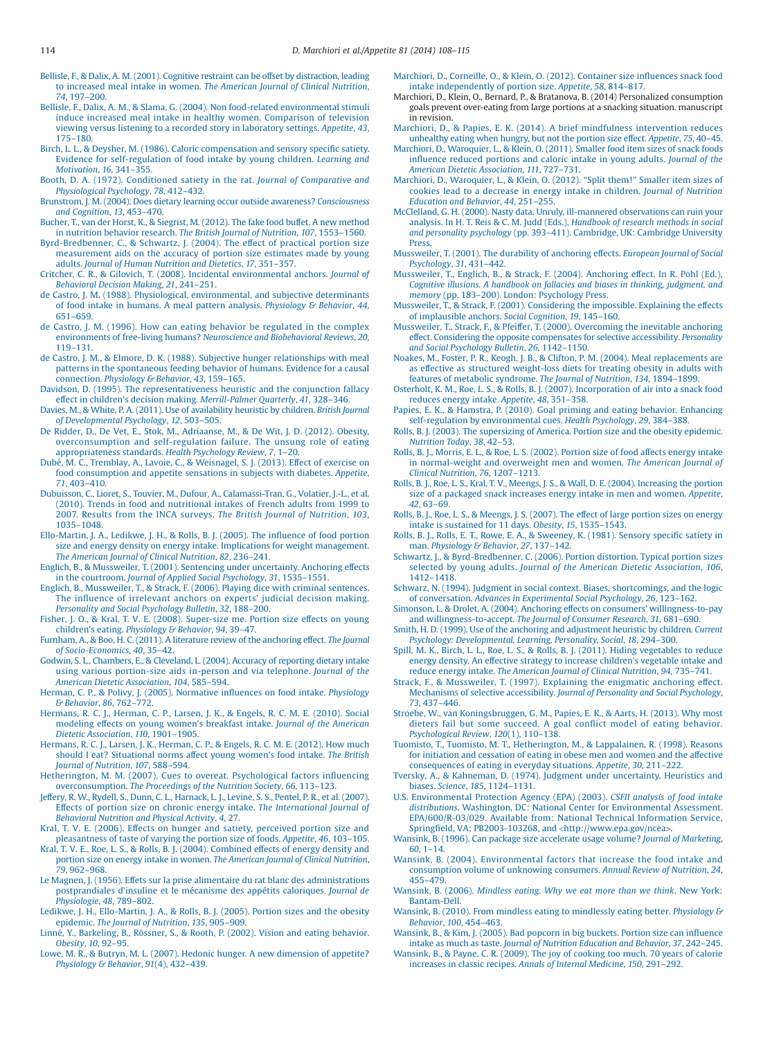<span id="page-6-30"></span>[Bellisle, F., & Dalix, A. M. \(2001\). Cognitive restraint can be offset by distraction, leading](http://refhub.elsevier.com/S0195-6663(14)00258-X/sr0020) to increased meal intake in women. *[The American Journal of Clinical Nutrition](http://refhub.elsevier.com/S0195-6663(14)00258-X/sr0020)*, *74*[, 197–200.](http://refhub.elsevier.com/S0195-6663(14)00258-X/sr0020)

- <span id="page-6-31"></span>[Bellisle, F., Dalix, A. M., & Slama, G. \(2004\). Non food-related environmental stimuli](http://refhub.elsevier.com/S0195-6663(14)00258-X/sr0025) [induce increased meal intake in healthy women. Comparison of television](http://refhub.elsevier.com/S0195-6663(14)00258-X/sr0025) [viewing versus listening to a recorded story in laboratory settings.](http://refhub.elsevier.com/S0195-6663(14)00258-X/sr0025) *Appetite*, *43*, [175–180.](http://refhub.elsevier.com/S0195-6663(14)00258-X/sr0025)
- <span id="page-6-22"></span>[Birch, L. L., & Deysher, M. \(1986\). Caloric compensation and sensory specific satiety.](http://refhub.elsevier.com/S0195-6663(14)00258-X/sr0030) [Evidence for self-regulation of food intake by young children.](http://refhub.elsevier.com/S0195-6663(14)00258-X/sr0030) *Learning and [Motivation](http://refhub.elsevier.com/S0195-6663(14)00258-X/sr0030)*, *16*, 341–355.
- <span id="page-6-21"></span>[Booth, D. A. \(1972\). Conditioned satiety in the rat.](http://refhub.elsevier.com/S0195-6663(14)00258-X/sr0035) *Journal of Comparative and [Physiological Psychology](http://refhub.elsevier.com/S0195-6663(14)00258-X/sr0035)*, *78*, 412–432.
- <span id="page-6-24"></span>[Brunstrom, J. M. \(2004\). Does dietary learning occur outside awareness?](http://refhub.elsevier.com/S0195-6663(14)00258-X/sr0040) *Consciousness [and Cognition](http://refhub.elsevier.com/S0195-6663(14)00258-X/sr0040)*, *13*, 453–470.
- <span id="page-6-47"></span>[Bucher, T., van der Horst, K., & Siegrist, M. \(2012\). The fake food buffet. A new method](http://refhub.elsevier.com/S0195-6663(14)00258-X/sr0045) [in nutrition behavior research.](http://refhub.elsevier.com/S0195-6663(14)00258-X/sr0045) *The British Journal of Nutrition*, *107*, 1553–1560.
- <span id="page-6-62"></span>[Byrd-Bredbenner, C., & Schwartz, J. \(2004\). The effect of practical portion size](http://refhub.elsevier.com/S0195-6663(14)00258-X/sr0050) [measurement aids on the accuracy of portion size estimates made by young](http://refhub.elsevier.com/S0195-6663(14)00258-X/sr0050) adults. *[Journal of Human Nutrition and Dietetics](http://refhub.elsevier.com/S0195-6663(14)00258-X/sr0050)*, *17*, 351–357.
- <span id="page-6-53"></span>[Critcher, C. R., & Gilovich, T. \(2008\). Incidental environmental anchors.](http://refhub.elsevier.com/S0195-6663(14)00258-X/sr0055) *Journal of [Behavioral Decision Making](http://refhub.elsevier.com/S0195-6663(14)00258-X/sr0055)*, *21*, 241–251.
- <span id="page-6-18"></span>[de Castro, J. M. \(1988\). Physiological, environmental, and subjective determinants](http://refhub.elsevier.com/S0195-6663(14)00258-X/sr0060) [of food intake in humans. A meal pattern analysis.](http://refhub.elsevier.com/S0195-6663(14)00258-X/sr0060) *Physiology & Behavior*, *44*, [651–659.](http://refhub.elsevier.com/S0195-6663(14)00258-X/sr0060)
- <span id="page-6-28"></span>[de Castro, J. M. \(1996\). How can eating behavior be regulated in the complex](http://refhub.elsevier.com/S0195-6663(14)00258-X/sr0065) environments of free-living humans? *[Neuroscience and Biobehavioral Reviews](http://refhub.elsevier.com/S0195-6663(14)00258-X/sr0065)*, *20*, [119–131.](http://refhub.elsevier.com/S0195-6663(14)00258-X/sr0065)
- <span id="page-6-19"></span>[de Castro, J. M., & Elmore, D. K. \(1988\). Subjective hunger relationships with meal](http://refhub.elsevier.com/S0195-6663(14)00258-X/sr0070) [patterns in the spontaneous feeding behavior of humans. Evidence for a causal](http://refhub.elsevier.com/S0195-6663(14)00258-X/sr0070) connection. *[Physiology & Behavior](http://refhub.elsevier.com/S0195-6663(14)00258-X/sr0070)*, *43*, 159–165.
- <span id="page-6-57"></span>[Davidson, D. \(1995\). The representativeness heuristic and the conjunction fallacy](http://refhub.elsevier.com/S0195-6663(14)00258-X/sr0075) [effect in children's decision making.](http://refhub.elsevier.com/S0195-6663(14)00258-X/sr0075) *Merrill-Palmer Quarterly*, *41*, 328–346.
- <span id="page-6-58"></span>[Davies, M., & White, P. A. \(2011\). Use of availability heuristic by children.](http://refhub.elsevier.com/S0195-6663(14)00258-X/sr0080) *British Journal [of Developmental Psychology](http://refhub.elsevier.com/S0195-6663(14)00258-X/sr0080)*, *12*, 503–505.
- <span id="page-6-29"></span>[De Ridder, D., De Vet, E., Stok, M., Adriaanse, M., & De Wit, J. D. \(2012\). Obesity,](http://refhub.elsevier.com/S0195-6663(14)00258-X/sr0085) [overconsumption and self-regulation failure. The unsung role of eating](http://refhub.elsevier.com/S0195-6663(14)00258-X/sr0085) [appropriateness standards.](http://refhub.elsevier.com/S0195-6663(14)00258-X/sr0085) *Health Psychology Review*, *7*, 1–20.
- <span id="page-6-50"></span>[Dubé, M. C., Tremblay, A., Lavoie, C., & Weisnagel, S. J. \(2013\). Effect of exercise on](http://refhub.elsevier.com/S0195-6663(14)00258-X/sr0090) [food consumption and appetite sensations in subjects with diabetes.](http://refhub.elsevier.com/S0195-6663(14)00258-X/sr0090) *Appetite*, *71*[, 403–410.](http://refhub.elsevier.com/S0195-6663(14)00258-X/sr0090)
- <span id="page-6-40"></span>[Dubuisson, C., Lioret, S., Touvier, M., Dufour, A., Calamassi-Tran, G., Volatier, J.-L., et al.](http://refhub.elsevier.com/S0195-6663(14)00258-X/sr0095) [\(2010\). Trends in food and nutritional intakes of French adults from 1999 to](http://refhub.elsevier.com/S0195-6663(14)00258-X/sr0095) [2007. Results from the INCA surveys.](http://refhub.elsevier.com/S0195-6663(14)00258-X/sr0095) *The British Journal of Nutrition*, *103*, [1035–1048.](http://refhub.elsevier.com/S0195-6663(14)00258-X/sr0095)
- <span id="page-6-3"></span>[Ello-Martin, J. A., Ledikwe, J. H., & Rolls, B. J. \(2005\). The influence of food portion](http://refhub.elsevier.com/S0195-6663(14)00258-X/sr0100) [size and energy density on energy intake. Implications for weight management.](http://refhub.elsevier.com/S0195-6663(14)00258-X/sr0100) *[The American Journal of Clinical Nutrition](http://refhub.elsevier.com/S0195-6663(14)00258-X/sr0100)*, *82*, 236–241.
- <span id="page-6-35"></span>[Englich, B., & Mussweiler, T. \(2001\). Sentencing under uncertainty. Anchoring effects](http://refhub.elsevier.com/S0195-6663(14)00258-X/sr0105) in the courtroom. *[Journal of Applied Social Psychology](http://refhub.elsevier.com/S0195-6663(14)00258-X/sr0105)*, *31*, 1535–1551.
- <span id="page-6-36"></span>[Englich, B., Mussweiler, T., & Strack, F. \(2006\). Playing dice with criminal sentences.](http://refhub.elsevier.com/S0195-6663(14)00258-X/sr0110) [The influence of irrelevant anchors on experts' judicial decision making.](http://refhub.elsevier.com/S0195-6663(14)00258-X/sr0110) *[Personality and Social Psychology Bulletin](http://refhub.elsevier.com/S0195-6663(14)00258-X/sr0110)*, *32*, 188–200.
- <span id="page-6-4"></span>[Fisher, J. O., & Kral, T. V. E. \(2008\). Super-size me. Portion size effects on young](http://refhub.elsevier.com/S0195-6663(14)00258-X/sr0115) children's eating. *[Physiology & Behavior](http://refhub.elsevier.com/S0195-6663(14)00258-X/sr0115)*, *94*, 39–47.
- <span id="page-6-14"></span>[Furnham, A., & Boo, H. C. \(2011\). A literature review of the anchoring effect.](http://refhub.elsevier.com/S0195-6663(14)00258-X/sr0120) *The Journal [of Socio-Economics](http://refhub.elsevier.com/S0195-6663(14)00258-X/sr0120)*, *40*, 35–42.
- <span id="page-6-48"></span>[Godwin, S. L., Chambers, E., & Cleveland, L. \(2004\). Accuracy of reporting dietary intake](http://refhub.elsevier.com/S0195-6663(14)00258-X/sr0125) [using various portion-size aids in-person and via telephone.](http://refhub.elsevier.com/S0195-6663(14)00258-X/sr0125) *Journal of the [American Dietetic Association](http://refhub.elsevier.com/S0195-6663(14)00258-X/sr0125)*, *104*, 585–594.
- <span id="page-6-26"></span>[Herman, C. P., & Polivy, J. \(2005\). Normative influences on food intake.](http://refhub.elsevier.com/S0195-6663(14)00258-X/sr0130) *Physiology [& Behavior](http://refhub.elsevier.com/S0195-6663(14)00258-X/sr0130)*, *86*, 762–772.
- <span id="page-6-27"></span>[Hermans, R. C. J., Herman, C. P., Larsen, J. K., & Engels, R. C. M. E. \(2010\). Social](http://refhub.elsevier.com/S0195-6663(14)00258-X/sr0135) [modeling effects on young women's breakfast intake.](http://refhub.elsevier.com/S0195-6663(14)00258-X/sr0135) *Journal of the American [Dietetic Association](http://refhub.elsevier.com/S0195-6663(14)00258-X/sr0135)*, *110*, 1901–1905.
- <span id="page-6-51"></span>[Hermans, R. C. J., Larsen, J. K., Herman, C. P., & Engels, R. C. M. E. \(2012\). How much](http://refhub.elsevier.com/S0195-6663(14)00258-X/sr0140) [should I eat? Situational norms affect young women's food intake.](http://refhub.elsevier.com/S0195-6663(14)00258-X/sr0140) *The British [Journal of Nutrition](http://refhub.elsevier.com/S0195-6663(14)00258-X/sr0140)*, *107*, 588–594.
- <span id="page-6-25"></span>[Hetherington, M. M. \(2007\). Cues to overeat. Psychological factors influencing](http://refhub.elsevier.com/S0195-6663(14)00258-X/sr0145) overconsumption. *[The Proceedings of the Nutrition Society](http://refhub.elsevier.com/S0195-6663(14)00258-X/sr0145)*, *66*, 113–123.
- <span id="page-6-8"></span>[Jeffery, R. W., Rydell, S., Dunn, C. L., Harnack, L. J., Levine, S. S., Pentel, P. R., et al. \(2007\).](http://refhub.elsevier.com/S0195-6663(14)00258-X/sr0150) [Effects of portion size on chronic energy intake.](http://refhub.elsevier.com/S0195-6663(14)00258-X/sr0150) *The International Journal of [Behavioral Nutrition and Physical Activity](http://refhub.elsevier.com/S0195-6663(14)00258-X/sr0150)*, *4*, 27.
- <span id="page-6-10"></span>[Kral, T. V. E. \(2006\). Effects on hunger and satiety, perceived portion size and](http://refhub.elsevier.com/S0195-6663(14)00258-X/sr0155) [pleasantness of taste of varying the portion size of foods.](http://refhub.elsevier.com/S0195-6663(14)00258-X/sr0155) *Appetite*, *46*, 103–105.
- <span id="page-6-56"></span>[Kral, T. V. E., Roe, L. S., & Rolls, B. J. \(2004\). Combined effects of energy density and](http://refhub.elsevier.com/S0195-6663(14)00258-X/sr0160) [portion size on energy intake in women.](http://refhub.elsevier.com/S0195-6663(14)00258-X/sr0160) *The American Journal of Clinical Nutrition*, *79*[, 962–968.](http://refhub.elsevier.com/S0195-6663(14)00258-X/sr0160)
- <span id="page-6-23"></span>[Le Magnen, J. \(1956\). Effets sur la prise alimentaire du rat blanc des administrations](http://refhub.elsevier.com/S0195-6663(14)00258-X/sr0165) [postprandiales d'insuline et le mécanisme des appétits caloriques.](http://refhub.elsevier.com/S0195-6663(14)00258-X/sr0165) *Journal de [Physiologie](http://refhub.elsevier.com/S0195-6663(14)00258-X/sr0165)*, *48*, 789–802.
- <span id="page-6-9"></span>[Ledikwe, J. H., Ello-Martin, J. A., & Rolls, B. J. \(2005\). Portion sizes and the obesity](http://refhub.elsevier.com/S0195-6663(14)00258-X/sr0170) epidemic. *[The Journal of Nutrition](http://refhub.elsevier.com/S0195-6663(14)00258-X/sr0170)*, *135*, 905–909.
- <span id="page-6-42"></span>[Linné, Y., Barkeling, B., Rössner, S., & Rooth, P. \(2002\). Vision and eating behavior.](http://refhub.elsevier.com/S0195-6663(14)00258-X/sr0175) *Obesity*, *10*[, 92–95.](http://refhub.elsevier.com/S0195-6663(14)00258-X/sr0175) [Lowe, M. R., & Butryn, M. L. \(2007\). Hedonic hunger. A new dimension of appetite?](http://refhub.elsevier.com/S0195-6663(14)00258-X/sr0180)
- <span id="page-6-43"></span>*[Physiology & Behavior](http://refhub.elsevier.com/S0195-6663(14)00258-X/sr0180)*, *91*(4), 432–439.
- [Marchiori, D., Corneille, O., & Klein, O. \(2012\). Container size influences snack food](http://refhub.elsevier.com/S0195-6663(14)00258-X/sr0200) [intake independently of portion size.](http://refhub.elsevier.com/S0195-6663(14)00258-X/sr0200) *Appetite*, *58*, 814–817.
- <span id="page-6-49"></span>Marchiori, D., Klein, O., Bernard, P., & Bratanova, B. (2014) Personalized consumption goals prevent over-eating from large portions at a snacking situation. manuscript in revision.
- <span id="page-6-44"></span>[Marchiori, D., & Papies, E. K. \(2014\). A brief mindfulness intervention reduces](http://refhub.elsevier.com/S0195-6663(14)00258-X/sr0190) [unhealthy eating when hungry, but not the portion size effect.](http://refhub.elsevier.com/S0195-6663(14)00258-X/sr0190) *Appetite*, *75*, 40–45.
- <span id="page-6-61"></span>[Marchiori, D., Waroquier, L., & Klein, O. \(2011\). Smaller food item sizes of snack foods](http://refhub.elsevier.com/S0195-6663(14)00258-X/sr0195) [influence reduced portions and caloric intake in young adults.](http://refhub.elsevier.com/S0195-6663(14)00258-X/sr0195) *Journal of the [American Dietetic Association](http://refhub.elsevier.com/S0195-6663(14)00258-X/sr0195)*, *111*, 727–731.
- <span id="page-6-12"></span>[Marchiori, D., Waroquier, L., & Klein, O. \(2012\). "Split them!" Smaller item sizes of](http://refhub.elsevier.com/S0195-6663(14)00258-X/sr0185) [cookies lead to a decrease in energy intake in children.](http://refhub.elsevier.com/S0195-6663(14)00258-X/sr0185) *Journal of Nutrition [Education and Behavior](http://refhub.elsevier.com/S0195-6663(14)00258-X/sr0185)*, *44*, 251–255.
- <span id="page-6-41"></span>[McClelland, G. H. \(2000\). Nasty data. Unruly, ill-mannered observations can ruin your](http://refhub.elsevier.com/S0195-6663(14)00258-X/sr0205) [analysis. In H. T. Reis & C. M. Judd \(Eds.\),](http://refhub.elsevier.com/S0195-6663(14)00258-X/sr0205) *Handbook of research methods in social and personality psychology* [\(pp. 393–411\). Cambridge, UK: Cambridge University](http://refhub.elsevier.com/S0195-6663(14)00258-X/sr0205) [Press.](http://refhub.elsevier.com/S0195-6663(14)00258-X/sr0205)
- <span id="page-6-34"></span>[Mussweiler, T. \(2001\). The durability of anchoring effects.](http://refhub.elsevier.com/S0195-6663(14)00258-X/sr0210) *European Journal of Social [Psychology](http://refhub.elsevier.com/S0195-6663(14)00258-X/sr0210)*, *31*, 431–442.
- <span id="page-6-38"></span>[Mussweiler, T., Englich, B., & Strack, F. \(2004\). Anchoring effect. In R. Pohl \(Ed.\),](http://refhub.elsevier.com/S0195-6663(14)00258-X/sr0215) *[Cognitive illusions. A handbook on fallacies and biases in thinking, judgment, and](http://refhub.elsevier.com/S0195-6663(14)00258-X/sr0215) memory* [\(pp. 183–200\). London: Psychology Press.](http://refhub.elsevier.com/S0195-6663(14)00258-X/sr0215)
- <span id="page-6-55"></span>[Mussweiler, T., & Strack, F. \(2001\). Considering the impossible. Explaining the effects](http://refhub.elsevier.com/S0195-6663(14)00258-X/sr0220) [of implausible anchors.](http://refhub.elsevier.com/S0195-6663(14)00258-X/sr0220) *Social Cognition*, *19*, 145–160.
- <span id="page-6-64"></span>[Mussweiler, T., Strack, F., & Pfeiffer, T. \(2000\). Overcoming the inevitable anchoring](http://refhub.elsevier.com/S0195-6663(14)00258-X/sr0225) [effect. Considering the opposite compensates for selective accessibility.](http://refhub.elsevier.com/S0195-6663(14)00258-X/sr0225) *Personality [and Social Psychology Bulletin](http://refhub.elsevier.com/S0195-6663(14)00258-X/sr0225)*, *26*, 1142–1150.
- <span id="page-6-63"></span>[Noakes, M., Foster, P. R., Keogh, J. B., & Clifton, P. M. \(2004\). Meal replacements are](http://refhub.elsevier.com/S0195-6663(14)00258-X/sr0230) [as effective as structured weight-loss diets for treating obesity in adults with](http://refhub.elsevier.com/S0195-6663(14)00258-X/sr0230) [features of metabolic syndrome.](http://refhub.elsevier.com/S0195-6663(14)00258-X/sr0230) *The Journal of Nutrition*, *134*, 1894–1899.
- <span id="page-6-60"></span>[Osterholt, K. M., Roe, L. S., & Rolls, B. J. \(2007\). Incorporation of air into a snack food](http://refhub.elsevier.com/S0195-6663(14)00258-X/sr0235) [reduces energy intake.](http://refhub.elsevier.com/S0195-6663(14)00258-X/sr0235) *Appetite*, *48*, 351–358.
- <span id="page-6-45"></span>[Papies, E. K., & Hamstra, P. \(2010\). Goal priming and eating behavior. Enhancing](http://refhub.elsevier.com/S0195-6663(14)00258-X/sr0240) [self-regulation by environmental cues.](http://refhub.elsevier.com/S0195-6663(14)00258-X/sr0240) *Health Psychology*, *29*, 384–388.
- <span id="page-6-5"></span>[Rolls, B. J. \(2003\). The supersizing of America. Portion size and the obesity epidemic.](http://refhub.elsevier.com/S0195-6663(14)00258-X/sr0245) *[Nutrition Today](http://refhub.elsevier.com/S0195-6663(14)00258-X/sr0245)*, *38*, 42–53.
- <span id="page-6-13"></span>[Rolls, B. J., Morris, E. L., & Roe, L. S. \(2002\). Portion size of food affects energy intake](http://refhub.elsevier.com/S0195-6663(14)00258-X/sr0250) [in normal-weight and overweight men and women.](http://refhub.elsevier.com/S0195-6663(14)00258-X/sr0250) *The American Journal of [Clinical Nutrition](http://refhub.elsevier.com/S0195-6663(14)00258-X/sr0250)*, *76*, 1207–1213.
- <span id="page-6-17"></span>[Rolls, B. J., Roe, L. S., Kral, T. V., Meengs, J. S., & Wall, D. E. \(2004\). Increasing the portion](http://refhub.elsevier.com/S0195-6663(14)00258-X/sr0255) [size of a packaged snack increases energy intake in men and women.](http://refhub.elsevier.com/S0195-6663(14)00258-X/sr0255) *Appetite*, *42*[, 63–69.](http://refhub.elsevier.com/S0195-6663(14)00258-X/sr0255)
- <span id="page-6-6"></span>[Rolls, B. J., Roe, L. S., & Meengs, J. S. \(2007\). The effect of large portion sizes on energy](http://refhub.elsevier.com/S0195-6663(14)00258-X/sr0260) [intake is sustained for 11 days.](http://refhub.elsevier.com/S0195-6663(14)00258-X/sr0260) *Obesity*, *15*, 1535–1543.
- <span id="page-6-20"></span>[Rolls, B. J., Rolls, E. T., Rowe, E. A., & Sweeney, K. \(1981\). Sensory specific satiety in](http://refhub.elsevier.com/S0195-6663(14)00258-X/sr0265) man. *[Physiology & Behavior](http://refhub.elsevier.com/S0195-6663(14)00258-X/sr0265)*, *27*, 137–142.
- <span id="page-6-0"></span>[Schwartz, J., & Byrd-Bredbenner, C. \(2006\). Portion distortion. Typical portion sizes](http://refhub.elsevier.com/S0195-6663(14)00258-X/sr0270) selected by young adults. *[Journal of the American Dietetic Association](http://refhub.elsevier.com/S0195-6663(14)00258-X/sr0270)*, *106*, [1412–1418.](http://refhub.elsevier.com/S0195-6663(14)00258-X/sr0270)
- <span id="page-6-33"></span>[Schwarz, N. \(1994\). Judgment in social context. Biases, shortcomings, and the logic](http://refhub.elsevier.com/S0195-6663(14)00258-X/sr0275) of conversation. *[Advances in Experimental Social Psychology](http://refhub.elsevier.com/S0195-6663(14)00258-X/sr0275)*, *26*, 123–162.
- <span id="page-6-37"></span>[Simonson, I., & Drolet, A. \(2004\). Anchoring effects on consumers' willingness-to-pay](http://refhub.elsevier.com/S0195-6663(14)00258-X/sr0280) and willingness-to-accept. *[The Journal of Consumer Research](http://refhub.elsevier.com/S0195-6663(14)00258-X/sr0280)*, *31*, 681–690.
- <span id="page-6-59"></span>[Smith, H. D. \(1999\). Use of the anchoring and adjustment heuristic by children.](http://refhub.elsevier.com/S0195-6663(14)00258-X/sr0285) *Current [Psychology: Developmental, Learning, Personality, Social](http://refhub.elsevier.com/S0195-6663(14)00258-X/sr0285)*, *18*, 294–300.
- <span id="page-6-52"></span>[Spill, M. K., Birch, L. L., Roe, L. S., & Rolls, B. J. \(2011\). Hiding vegetables to reduce](http://refhub.elsevier.com/S0195-6663(14)00258-X/sr0290) [energy density. An effective strategy to increase children's vegetable intake and](http://refhub.elsevier.com/S0195-6663(14)00258-X/sr0290) reduce energy intake. *[The American Journal of Clinical Nutrition](http://refhub.elsevier.com/S0195-6663(14)00258-X/sr0290)*, *94*, 735–741.
- <span id="page-6-16"></span>[Strack, F., & Mussweiler, T. \(1997\). Explaining the enigmatic anchoring effect.](http://refhub.elsevier.com/S0195-6663(14)00258-X/sr0295) Mechanisms of selective accessibility. *[Journal of Personality and Social Psychology](http://refhub.elsevier.com/S0195-6663(14)00258-X/sr0295)*, *73*[, 437–446.](http://refhub.elsevier.com/S0195-6663(14)00258-X/sr0295)
- <span id="page-6-46"></span>[Stroebe, W., van Koningsbruggen, G. M., Papies, E. K., & Aarts, H. \(2013\). Why most](http://refhub.elsevier.com/S0195-6663(14)00258-X/sr0300) [dieters fail but some succeed. A goal conflict model of eating behavior.](http://refhub.elsevier.com/S0195-6663(14)00258-X/sr0300) *[Psychological Review](http://refhub.elsevier.com/S0195-6663(14)00258-X/sr0300)*, *120*(1), 110–138.
- <span id="page-6-32"></span>[Tuomisto, T., Tuomisto, M. T., Hetherington, M., & Lappalainen, R. \(1998\). Reasons](http://refhub.elsevier.com/S0195-6663(14)00258-X/sr0305) [for initiation and cessation of eating in obese men and women and the affective](http://refhub.elsevier.com/S0195-6663(14)00258-X/sr0305) [consequences of eating in everyday situations.](http://refhub.elsevier.com/S0195-6663(14)00258-X/sr0305) *Appetite*, *30*, 211–222.
- <span id="page-6-15"></span>[Tversky, A., & Kahneman, D. \(1974\). Judgment under uncertainty. Heuristics and](http://refhub.elsevier.com/S0195-6663(14)00258-X/sr0310) biases. *Science*, *185*[, 1124–1131.](http://refhub.elsevier.com/S0195-6663(14)00258-X/sr0310)
- <span id="page-6-39"></span>[U.S. Environmental Protection Agency \(EPA\) \(2003\).](http://refhub.elsevier.com/S0195-6663(14)00258-X/sr0315) *CSFII analysis of food intake distributions*[. Washington, DC: National Center for Environmental Assessment.](http://refhub.elsevier.com/S0195-6663(14)00258-X/sr0315) [EPA/600/R-03/029. Available from: National Technical Information Service,](http://refhub.elsevier.com/S0195-6663(14)00258-X/sr0315) Springfield, VA; PB2003-103268, and <<http://www.epa.gov/ncea>>.
- <span id="page-6-11"></span>[Wansink, B. \(1996\). Can package size accelerate usage volume?](http://refhub.elsevier.com/S0195-6663(14)00258-X/sr0320) *Journal of Marketing*, *60*[, 1–14.](http://refhub.elsevier.com/S0195-6663(14)00258-X/sr0320)
- <span id="page-6-2"></span>[Wansink, B. \(2004\). Environmental factors that increase the food intake and](http://refhub.elsevier.com/S0195-6663(14)00258-X/sr0325) [consumption volume of unknowing consumers.](http://refhub.elsevier.com/S0195-6663(14)00258-X/sr0325) *Annual Review of Nutrition*, *24*, [455–479.](http://refhub.elsevier.com/S0195-6663(14)00258-X/sr0325)
- <span id="page-6-54"></span>Wansink, B. (2006). *[Mindless eating. Why we eat more than we think](http://refhub.elsevier.com/S0195-6663(14)00258-X/sr0330)*. New York: [Bantam-Dell.](http://refhub.elsevier.com/S0195-6663(14)00258-X/sr0330)
- [Wansink, B. \(2010\). From mindless eating to mindlessly eating better.](http://refhub.elsevier.com/S0195-6663(14)00258-X/sr0335) *Physiology & Behavior*, *100*[, 454–463.](http://refhub.elsevier.com/S0195-6663(14)00258-X/sr0335)
- <span id="page-6-7"></span>[Wansink, B., & Kim, J. \(2005\). Bad popcorn in big buckets. Portion size can influence](http://refhub.elsevier.com/S0195-6663(14)00258-X/sr0340)
- <span id="page-6-1"></span>intake as much as taste. *[Journal of Nutrition Education and Behavior](http://refhub.elsevier.com/S0195-6663(14)00258-X/sr0340)*, *37*, 242–245. [Wansink, B., & Payne, C. R. \(2009\). The joy of cooking too much. 70 years of calorie](http://refhub.elsevier.com/S0195-6663(14)00258-X/sr0345) [increases in classic recipes.](http://refhub.elsevier.com/S0195-6663(14)00258-X/sr0345) *Annals of Internal Medicine*, *150*, 291–292.